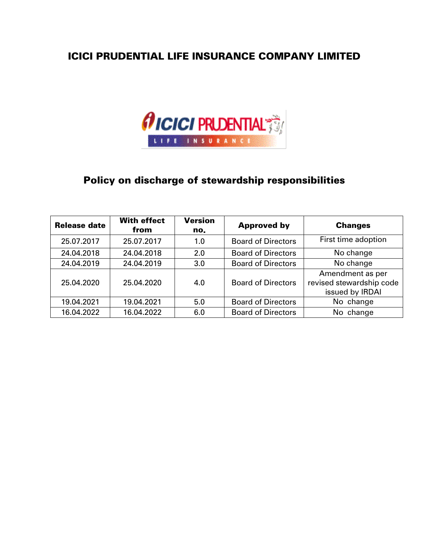## ICICI PRUDENTIAL LIFE INSURANCE COMPANY LIMITED



# Policy on discharge of stewardship responsibilities

| <b>Release date</b> | <b>With effect</b><br>from | <b>Version</b><br>no. | <b>Approved by</b>        | <b>Changes</b>                                                  |
|---------------------|----------------------------|-----------------------|---------------------------|-----------------------------------------------------------------|
| 25.07.2017          | 25.07.2017                 | 1.0                   | <b>Board of Directors</b> | First time adoption                                             |
| 24.04.2018          | 24.04.2018                 | 2.0                   | <b>Board of Directors</b> | No change                                                       |
| 24.04.2019          | 24.04.2019                 | 3.0                   | <b>Board of Directors</b> | No change                                                       |
| 25.04.2020          | 25.04.2020                 | 4.0                   | <b>Board of Directors</b> | Amendment as per<br>revised stewardship code<br>issued by IRDAI |
| 19.04.2021          | 19.04.2021                 | 5.0                   | <b>Board of Directors</b> | No change                                                       |
| 16.04.2022          | 16.04.2022                 | 6.0                   | <b>Board of Directors</b> | No change                                                       |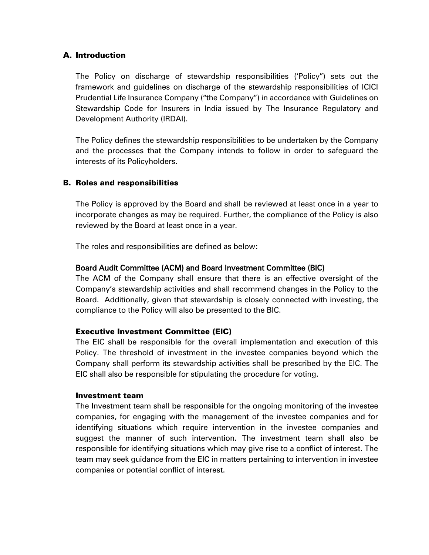#### A. Introduction

The Policy on discharge of stewardship responsibilities ('Policy") sets out the framework and guidelines on discharge of the stewardship responsibilities of ICICI Prudential Life Insurance Company ("the Company") in accordance with Guidelines on Stewardship Code for Insurers in India issued by The Insurance Regulatory and Development Authority (IRDAI).

The Policy defines the stewardship responsibilities to be undertaken by the Company and the processes that the Company intends to follow in order to safeguard the interests of its Policyholders.

#### B. Roles and responsibilities

The Policy is approved by the Board and shall be reviewed at least once in a year to incorporate changes as may be required. Further, the compliance of the Policy is also reviewed by the Board at least once in a year.

The roles and responsibilities are defined as below:

#### Board Audit Committee (ACM) and Board Investment Committee (BIC)

The ACM of the Company shall ensure that there is an effective oversight of the Company's stewardship activities and shall recommend changes in the Policy to the Board. Additionally, given that stewardship is closely connected with investing, the compliance to the Policy will also be presented to the BIC.

#### Executive Investment Committee (EIC)

The EIC shall be responsible for the overall implementation and execution of this Policy. The threshold of investment in the investee companies beyond which the Company shall perform its stewardship activities shall be prescribed by the EIC. The EIC shall also be responsible for stipulating the procedure for voting.

#### Investment team

The Investment team shall be responsible for the ongoing monitoring of the investee companies, for engaging with the management of the investee companies and for identifying situations which require intervention in the investee companies and suggest the manner of such intervention. The investment team shall also be responsible for identifying situations which may give rise to a conflict of interest. The team may seek guidance from the EIC in matters pertaining to intervention in investee companies or potential conflict of interest.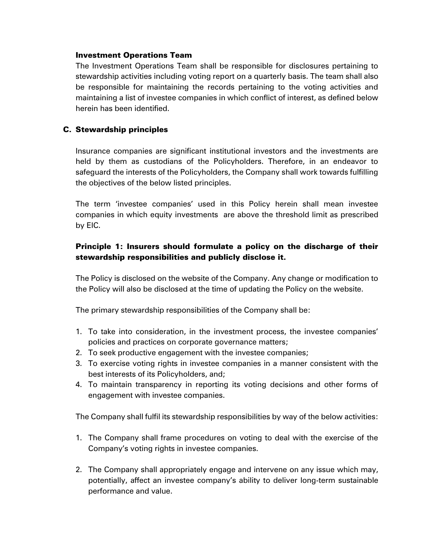#### Investment Operations Team

The Investment Operations Team shall be responsible for disclosures pertaining to stewardship activities including voting report on a quarterly basis. The team shall also be responsible for maintaining the records pertaining to the voting activities and maintaining a list of investee companies in which conflict of interest, as defined below herein has been identified.

### C. Stewardship principles

Insurance companies are significant institutional investors and the investments are held by them as custodians of the Policyholders. Therefore, in an endeavor to safeguard the interests of the Policyholders, the Company shall work towards fulfilling the objectives of the below listed principles.

The term 'investee companies' used in this Policy herein shall mean investee companies in which equity investments are above the threshold limit as prescribed by EIC.

### Principle 1: Insurers should formulate a policy on the discharge of their stewardship responsibilities and publicly disclose it.

The Policy is disclosed on the website of the Company. Any change or modification to the Policy will also be disclosed at the time of updating the Policy on the website.

The primary stewardship responsibilities of the Company shall be:

- 1. To take into consideration, in the investment process, the investee companies' policies and practices on corporate governance matters;
- 2. To seek productive engagement with the investee companies;
- 3. To exercise voting rights in investee companies in a manner consistent with the best interests of its Policyholders, and;
- 4. To maintain transparency in reporting its voting decisions and other forms of engagement with investee companies.

The Company shall fulfil its stewardship responsibilities by way of the below activities:

- 1. The Company shall frame procedures on voting to deal with the exercise of the Company's voting rights in investee companies.
- 2. The Company shall appropriately engage and intervene on any issue which may, potentially, affect an investee company's ability to deliver long-term sustainable performance and value.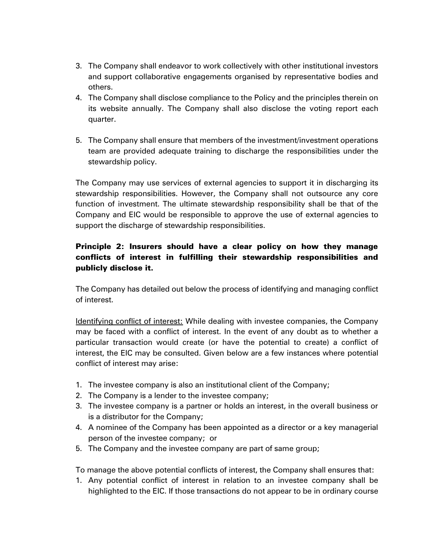- 3. The Company shall endeavor to work collectively with other institutional investors and support collaborative engagements organised by representative bodies and others.
- 4. The Company shall disclose compliance to the Policy and the principles therein on its website annually. The Company shall also disclose the voting report each quarter.
- 5. The Company shall ensure that members of the investment/investment operations team are provided adequate training to discharge the responsibilities under the stewardship policy.

The Company may use services of external agencies to support it in discharging its stewardship responsibilities. However, the Company shall not outsource any core function of investment. The ultimate stewardship responsibility shall be that of the Company and EIC would be responsible to approve the use of external agencies to support the discharge of stewardship responsibilities.

## Principle 2: Insurers should have a clear policy on how they manage conflicts of interest in fulfilling their stewardship responsibilities and publicly disclose it.

The Company has detailed out below the process of identifying and managing conflict of interest.

Identifying conflict of interest: While dealing with investee companies, the Company may be faced with a conflict of interest. In the event of any doubt as to whether a particular transaction would create (or have the potential to create) a conflict of interest, the EIC may be consulted. Given below are a few instances where potential conflict of interest may arise:

- 1. The investee company is also an institutional client of the Company;
- 2. The Company is a lender to the investee company;
- 3. The investee company is a partner or holds an interest, in the overall business or is a distributor for the Company;
- 4. A nominee of the Company has been appointed as a director or a key managerial person of the investee company; or
- 5. The Company and the investee company are part of same group;

To manage the above potential conflicts of interest, the Company shall ensures that:

1. Any potential conflict of interest in relation to an investee company shall be highlighted to the EIC. If those transactions do not appear to be in ordinary course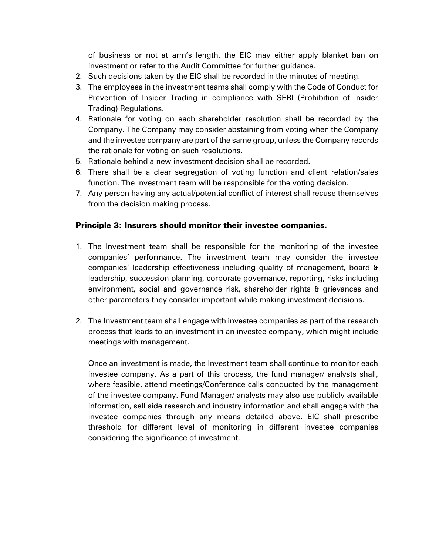of business or not at arm's length, the EIC may either apply blanket ban on investment or refer to the Audit Committee for further guidance.

- 2. Such decisions taken by the EIC shall be recorded in the minutes of meeting.
- 3. The employees in the investment teams shall comply with the Code of Conduct for Prevention of Insider Trading in compliance with SEBI (Prohibition of Insider Trading) Regulations.
- 4. Rationale for voting on each shareholder resolution shall be recorded by the Company. The Company may consider abstaining from voting when the Company and the investee company are part of the same group, unless the Company records the rationale for voting on such resolutions.
- 5. Rationale behind a new investment decision shall be recorded.
- 6. There shall be a clear segregation of voting function and client relation/sales function. The Investment team will be responsible for the voting decision.
- 7. Any person having any actual/potential conflict of interest shall recuse themselves from the decision making process.

## Principle 3: Insurers should monitor their investee companies.

- 1. The Investment team shall be responsible for the monitoring of the investee companies' performance. The investment team may consider the investee companies' leadership effectiveness including quality of management, board & leadership, succession planning, corporate governance, reporting, risks including environment, social and governance risk, shareholder rights & grievances and other parameters they consider important while making investment decisions.
- 2. The Investment team shall engage with investee companies as part of the research process that leads to an investment in an investee company, which might include meetings with management.

Once an investment is made, the Investment team shall continue to monitor each investee company. As a part of this process, the fund manager/ analysts shall, where feasible, attend meetings/Conference calls conducted by the management of the investee company. Fund Manager/ analysts may also use publicly available information, sell side research and industry information and shall engage with the investee companies through any means detailed above. EIC shall prescribe threshold for different level of monitoring in different investee companies considering the significance of investment.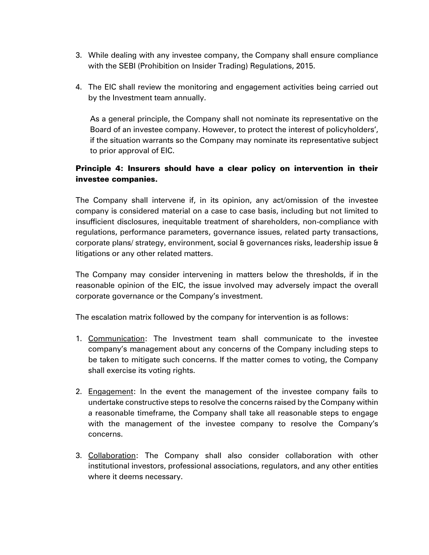- 3. While dealing with any investee company, the Company shall ensure compliance with the SEBI (Prohibition on Insider Trading) Regulations, 2015.
- 4. The EIC shall review the monitoring and engagement activities being carried out by the Investment team annually.

As a general principle, the Company shall not nominate its representative on the Board of an investee company. However, to protect the interest of policyholders', if the situation warrants so the Company may nominate its representative subject to prior approval of EIC.

## Principle 4: Insurers should have a clear policy on intervention in their investee companies.

The Company shall intervene if, in its opinion, any act/omission of the investee company is considered material on a case to case basis, including but not limited to insufficient disclosures, inequitable treatment of shareholders, non-compliance with regulations, performance parameters, governance issues, related party transactions, corporate plans/ strategy, environment, social & governances risks, leadership issue & litigations or any other related matters.

The Company may consider intervening in matters below the thresholds, if in the reasonable opinion of the EIC, the issue involved may adversely impact the overall corporate governance or the Company's investment.

The escalation matrix followed by the company for intervention is as follows:

- 1. Communication: The Investment team shall communicate to the investee company's management about any concerns of the Company including steps to be taken to mitigate such concerns. If the matter comes to voting, the Company shall exercise its voting rights.
- 2. Engagement: In the event the management of the investee company fails to undertake constructive steps to resolve the concerns raised by the Company within a reasonable timeframe, the Company shall take all reasonable steps to engage with the management of the investee company to resolve the Company's concerns.
- 3. Collaboration: The Company shall also consider collaboration with other institutional investors, professional associations, regulators, and any other entities where it deems necessary.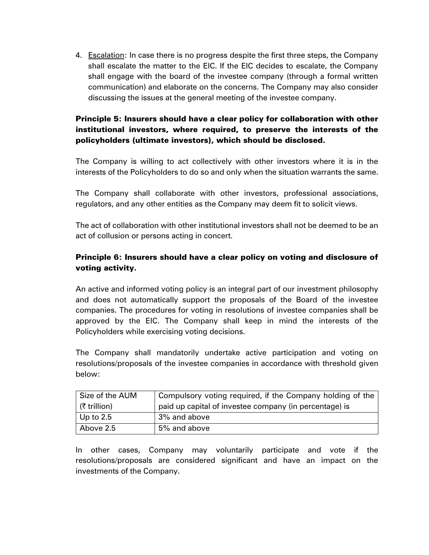4. Escalation: In case there is no progress despite the first three steps, the Company shall escalate the matter to the EIC. If the EIC decides to escalate, the Company shall engage with the board of the investee company (through a formal written communication) and elaborate on the concerns. The Company may also consider discussing the issues at the general meeting of the investee company.

## Principle 5: Insurers should have a clear policy for collaboration with other institutional investors, where required, to preserve the interests of the policyholders (ultimate investors), which should be disclosed.

The Company is willing to act collectively with other investors where it is in the interests of the Policyholders to do so and only when the situation warrants the same.

The Company shall collaborate with other investors, professional associations, regulators, and any other entities as the Company may deem fit to solicit views.

The act of collaboration with other institutional investors shall not be deemed to be an act of collusion or persons acting in concert.

## Principle 6: Insurers should have a clear policy on voting and disclosure of voting activity.

An active and informed voting policy is an integral part of our investment philosophy and does not automatically support the proposals of the Board of the investee companies. The procedures for voting in resolutions of investee companies shall be approved by the EIC. The Company shall keep in mind the interests of the Policyholders while exercising voting decisions.

The Company shall mandatorily undertake active participation and voting on resolutions/proposals of the investee companies in accordance with threshold given below:

| Size of the AUM | Compulsory voting required, if the Company holding of the |
|-----------------|-----------------------------------------------------------|
| (₹ trillion)    | paid up capital of investee company (in percentage) is    |
| Up to $2.5$     | 3% and above                                              |
| Above 2.5       | 5% and above                                              |

In other cases, Company may voluntarily participate and vote if the resolutions/proposals are considered significant and have an impact on the investments of the Company.